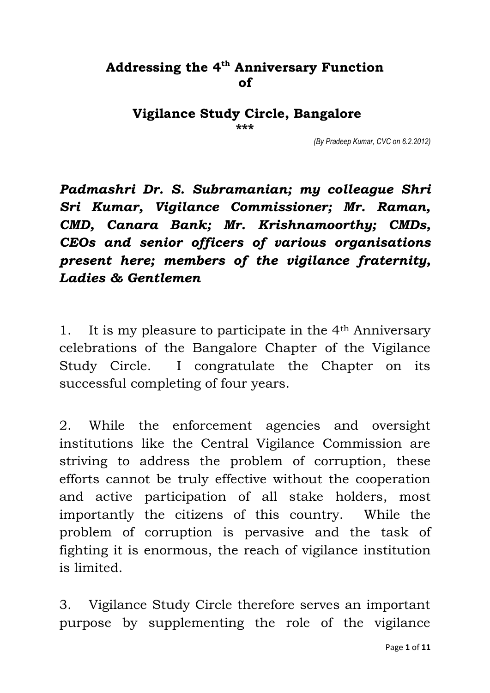## **Addressing the 4th Anniversary Function of**

**Vigilance Study Circle, Bangalore \*\*\***

*(By Pradeep Kumar, CVC on 6.2.2012)*

*Padmashri Dr. S. Subramanian; my colleague Shri Sri Kumar, Vigilance Commissioner; Mr. Raman, CMD, Canara Bank; Mr. Krishnamoorthy; CMDs, CEOs and senior officers of various organisations present here; members of the vigilance fraternity, Ladies & Gentlemen*

1. It is my pleasure to participate in the 4th Anniversary celebrations of the Bangalore Chapter of the Vigilance Study Circle. I congratulate the Chapter on its successful completing of four years.

2. While the enforcement agencies and oversight institutions like the Central Vigilance Commission are striving to address the problem of corruption, these efforts cannot be truly effective without the cooperation and active participation of all stake holders, most importantly the citizens of this country. While the problem of corruption is pervasive and the task of fighting it is enormous, the reach of vigilance institution is limited.

3. Vigilance Study Circle therefore serves an important purpose by supplementing the role of the vigilance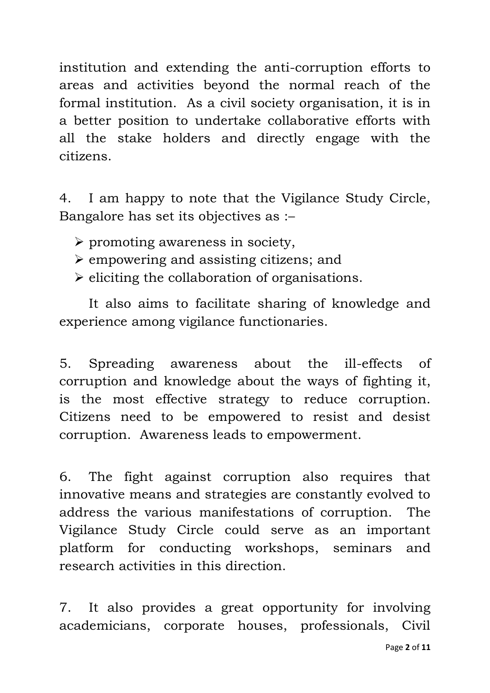institution and extending the anti-corruption efforts to areas and activities beyond the normal reach of the formal institution. As a civil society organisation, it is in a better position to undertake collaborative efforts with all the stake holders and directly engage with the citizens.

4. I am happy to note that the Vigilance Study Circle, Bangalore has set its objectives as :–

- $\triangleright$  promoting awareness in society,
- $\geq$  empowering and assisting citizens; and
- $\triangleright$  eliciting the collaboration of organisations.

It also aims to facilitate sharing of knowledge and experience among vigilance functionaries.

5. Spreading awareness about the ill-effects of corruption and knowledge about the ways of fighting it, is the most effective strategy to reduce corruption. Citizens need to be empowered to resist and desist corruption. Awareness leads to empowerment.

6. The fight against corruption also requires that innovative means and strategies are constantly evolved to address the various manifestations of corruption. The Vigilance Study Circle could serve as an important platform for conducting workshops, seminars and research activities in this direction.

7. It also provides a great opportunity for involving academicians, corporate houses, professionals, Civil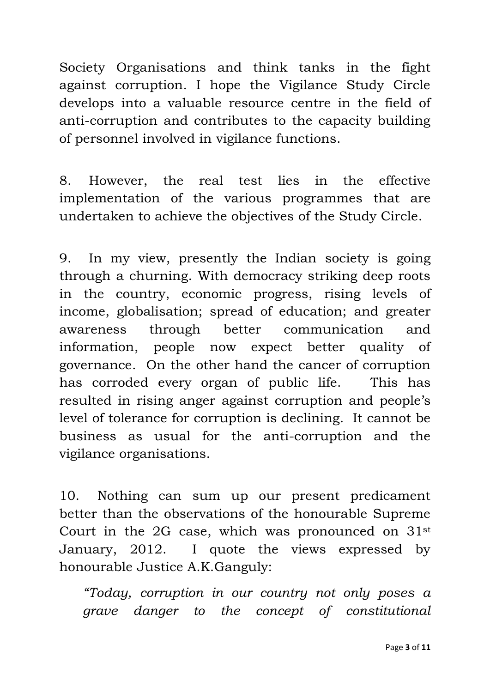Society Organisations and think tanks in the fight against corruption. I hope the Vigilance Study Circle develops into a valuable resource centre in the field of anti-corruption and contributes to the capacity building of personnel involved in vigilance functions.

8. However, the real test lies in the effective implementation of the various programmes that are undertaken to achieve the objectives of the Study Circle.

9. In my view, presently the Indian society is going through a churning. With democracy striking deep roots in the country, economic progress, rising levels of income, globalisation; spread of education; and greater awareness through better communication and information, people now expect better quality of governance. On the other hand the cancer of corruption has corroded every organ of public life. This has resulted in rising anger against corruption and people's level of tolerance for corruption is declining. It cannot be business as usual for the anti-corruption and the vigilance organisations.

10. Nothing can sum up our present predicament better than the observations of the honourable Supreme Court in the 2G case, which was pronounced on 31st January, 2012. I quote the views expressed by honourable Justice A.K.Ganguly:

*"Today, corruption in our country not only poses a grave danger to the concept of constitutional*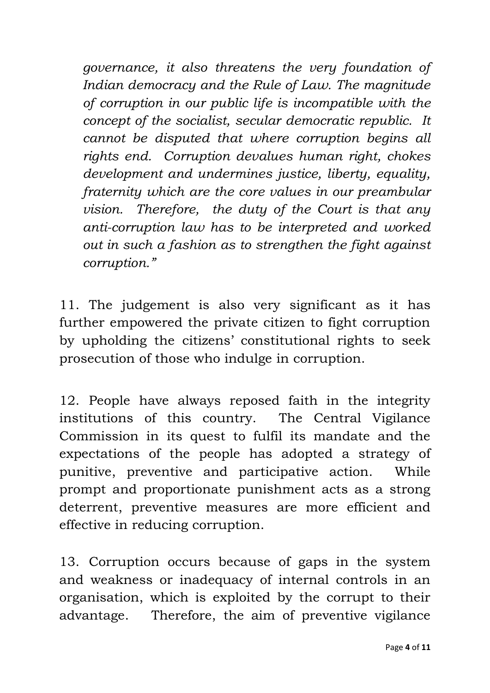*governance, it also threatens the very foundation of Indian democracy and the Rule of Law. The magnitude of corruption in our public life is incompatible with the concept of the socialist, secular democratic republic. It cannot be disputed that where corruption begins all rights end. Corruption devalues human right, chokes development and undermines justice, liberty, equality, fraternity which are the core values in our preambular vision. Therefore, the duty of the Court is that any anti-corruption law has to be interpreted and worked out in such a fashion as to strengthen the fight against corruption."*

11. The judgement is also very significant as it has further empowered the private citizen to fight corruption by upholding the citizens' constitutional rights to seek prosecution of those who indulge in corruption.

12. People have always reposed faith in the integrity institutions of this country. The Central Vigilance Commission in its quest to fulfil its mandate and the expectations of the people has adopted a strategy of punitive, preventive and participative action. While prompt and proportionate punishment acts as a strong deterrent, preventive measures are more efficient and effective in reducing corruption.

13. Corruption occurs because of gaps in the system and weakness or inadequacy of internal controls in an organisation, which is exploited by the corrupt to their advantage. Therefore, the aim of preventive vigilance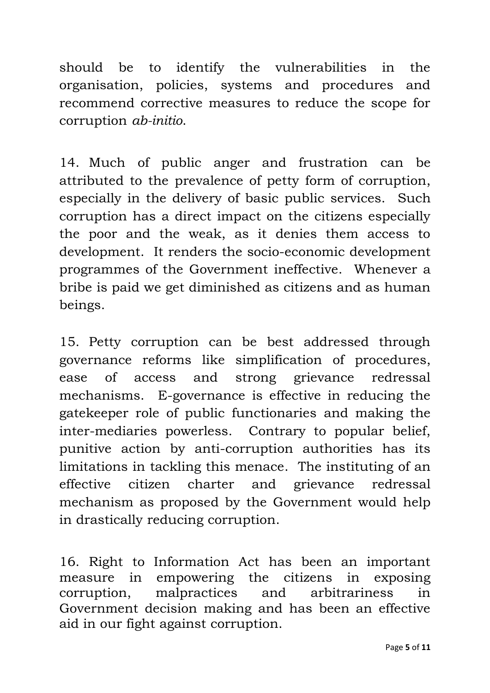should be to identify the vulnerabilities in the organisation, policies, systems and procedures and recommend corrective measures to reduce the scope for corruption *ab-initio*.

14. Much of public anger and frustration can be attributed to the prevalence of petty form of corruption, especially in the delivery of basic public services. Such corruption has a direct impact on the citizens especially the poor and the weak, as it denies them access to development. It renders the socio-economic development programmes of the Government ineffective. Whenever a bribe is paid we get diminished as citizens and as human beings.

15. Petty corruption can be best addressed through governance reforms like simplification of procedures, ease of access and strong grievance redressal mechanisms. E-governance is effective in reducing the gatekeeper role of public functionaries and making the inter-mediaries powerless. Contrary to popular belief, punitive action by anti-corruption authorities has its limitations in tackling this menace. The instituting of an effective citizen charter and grievance redressal mechanism as proposed by the Government would help in drastically reducing corruption.

16. Right to Information Act has been an important measure in empowering the citizens in exposing corruption, malpractices and arbitrariness in Government decision making and has been an effective aid in our fight against corruption.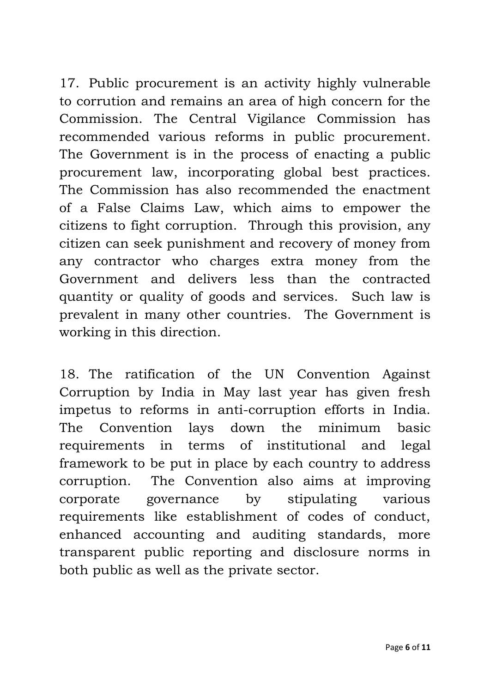17. Public procurement is an activity highly vulnerable to corrution and remains an area of high concern for the Commission. The Central Vigilance Commission has recommended various reforms in public procurement. The Government is in the process of enacting a public procurement law, incorporating global best practices. The Commission has also recommended the enactment of a False Claims Law, which aims to empower the citizens to fight corruption. Through this provision, any citizen can seek punishment and recovery of money from any contractor who charges extra money from the Government and delivers less than the contracted quantity or quality of goods and services. Such law is prevalent in many other countries. The Government is working in this direction.

18. The ratification of the UN Convention Against Corruption by India in May last year has given fresh impetus to reforms in anti-corruption efforts in India. The Convention lays down the minimum basic requirements in terms of institutional and legal framework to be put in place by each country to address corruption. The Convention also aims at improving corporate governance by stipulating various requirements like establishment of codes of conduct, enhanced accounting and auditing standards, more transparent public reporting and disclosure norms in both public as well as the private sector.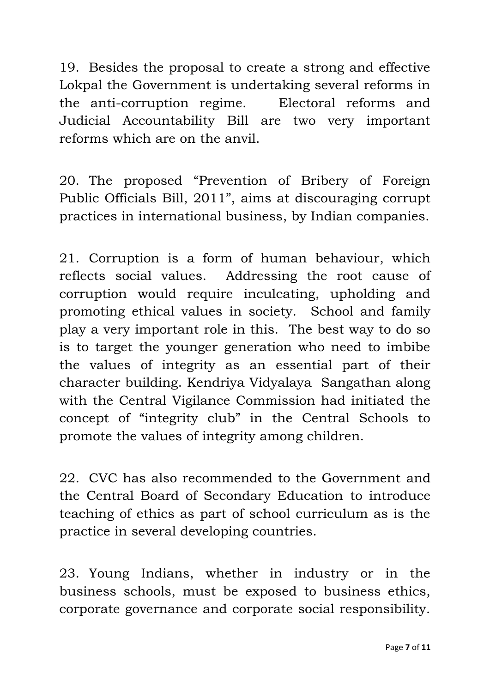19. Besides the proposal to create a strong and effective Lokpal the Government is undertaking several reforms in the anti-corruption regime. Electoral reforms and Judicial Accountability Bill are two very important reforms which are on the anvil.

20. The proposed "Prevention of Bribery of Foreign Public Officials Bill, 2011", aims at discouraging corrupt practices in international business, by Indian companies.

21. Corruption is a form of human behaviour, which reflects social values. Addressing the root cause of corruption would require inculcating, upholding and promoting ethical values in society. School and family play a very important role in this. The best way to do so is to target the younger generation who need to imbibe the values of integrity as an essential part of their character building. Kendriya Vidyalaya Sangathan along with the Central Vigilance Commission had initiated the concept of "integrity club" in the Central Schools to promote the values of integrity among children.

22. CVC has also recommended to the Government and the Central Board of Secondary Education to introduce teaching of ethics as part of school curriculum as is the practice in several developing countries.

23. Young Indians, whether in industry or in the business schools, must be exposed to business ethics, corporate governance and corporate social responsibility.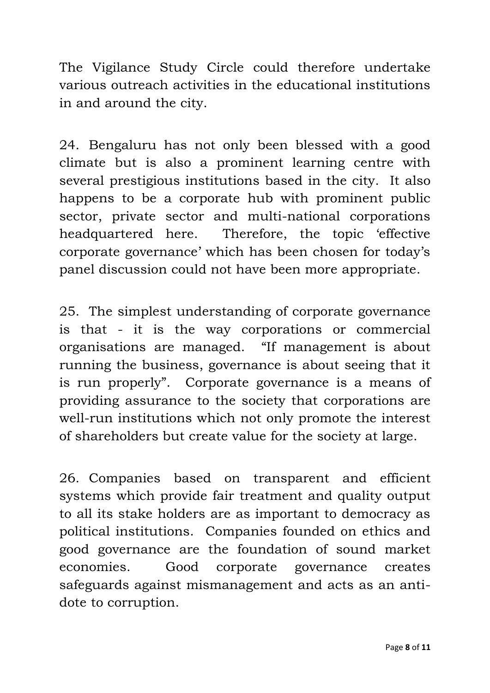The Vigilance Study Circle could therefore undertake various outreach activities in the educational institutions in and around the city.

24. Bengaluru has not only been blessed with a good climate but is also a prominent learning centre with several prestigious institutions based in the city. It also happens to be a corporate hub with prominent public sector, private sector and multi-national corporations headquartered here. Therefore, the topic 'effective corporate governance' which has been chosen for today's panel discussion could not have been more appropriate.

25. The simplest understanding of corporate governance is that - it is the way corporations or commercial organisations are managed. "If management is about running the business, governance is about seeing that it is run properly". Corporate governance is a means of providing assurance to the society that corporations are well-run institutions which not only promote the interest of shareholders but create value for the society at large.

26. Companies based on transparent and efficient systems which provide fair treatment and quality output to all its stake holders are as important to democracy as political institutions. Companies founded on ethics and good governance are the foundation of sound market economies. Good corporate governance creates safeguards against mismanagement and acts as an antidote to corruption.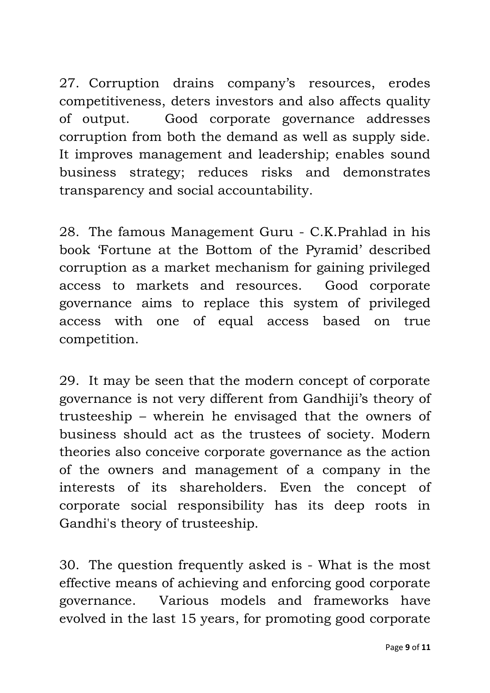27. Corruption drains company's resources, erodes competitiveness, deters investors and also affects quality of output. Good corporate governance addresses corruption from both the demand as well as supply side. It improves management and leadership; enables sound business strategy; reduces risks and demonstrates transparency and social accountability.

28. The famous Management Guru - C.K.Prahlad in his book 'Fortune at the Bottom of the Pyramid' described corruption as a market mechanism for gaining privileged access to markets and resources. Good corporate governance aims to replace this system of privileged access with one of equal access based on true competition.

29. It may be seen that the modern concept of corporate governance is not very different from Gandhiji's theory of trusteeship – wherein he envisaged that the owners of business should act as the trustees of society. Modern theories also conceive corporate governance as the action of the owners and management of a company in the interests of its shareholders. Even the concept of corporate social responsibility has its deep roots in Gandhi's theory of trusteeship.

30. The question frequently asked is - What is the most effective means of achieving and enforcing good corporate governance. Various models and frameworks have evolved in the last 15 years, for promoting good corporate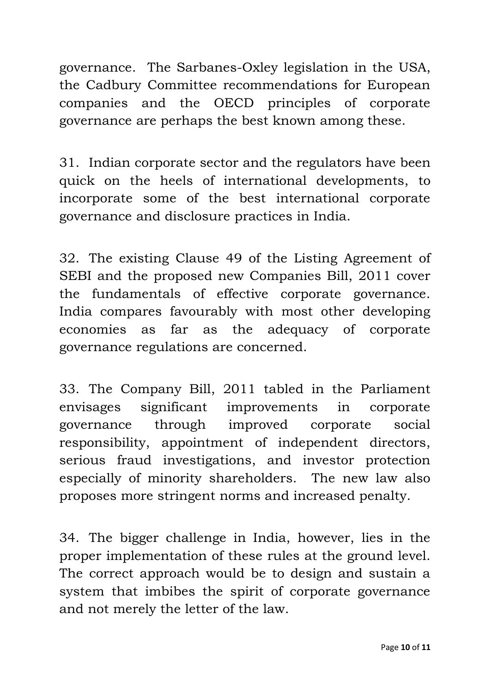governance. The Sarbanes-Oxley legislation in the USA, the Cadbury Committee recommendations for European companies and the OECD principles of corporate governance are perhaps the best known among these.

31. Indian corporate sector and the regulators have been quick on the heels of international developments, to incorporate some of the best international corporate governance and disclosure practices in India.

32. The existing Clause 49 of the Listing Agreement of SEBI and the proposed new Companies Bill, 2011 cover the fundamentals of effective corporate governance. India compares favourably with most other developing economies as far as the adequacy of corporate governance regulations are concerned.

33. The Company Bill, 2011 tabled in the Parliament envisages significant improvements in corporate governance through improved corporate social responsibility, appointment of independent directors, serious fraud investigations, and investor protection especially of minority shareholders. The new law also proposes more stringent norms and increased penalty.

34. The bigger challenge in India, however, lies in the proper implementation of these rules at the ground level. The correct approach would be to design and sustain a system that imbibes the spirit of corporate governance and not merely the letter of the law.